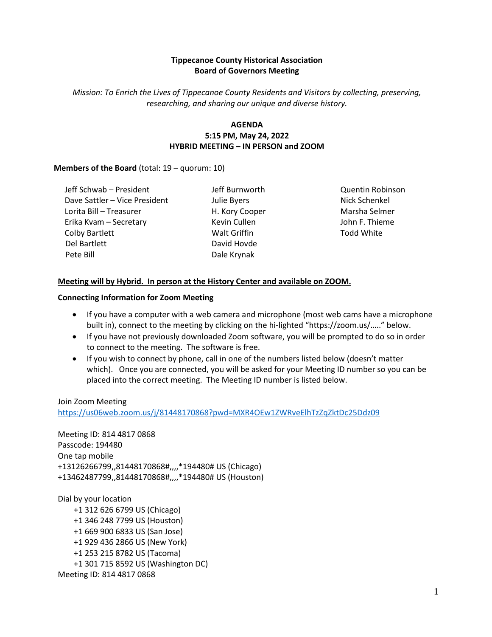## **Tippecanoe County Historical Association Board of Governors Meeting**

*Mission: To Enrich the Lives of Tippecanoe County Residents and Visitors by collecting, preserving, researching, and sharing our unique and diverse history.*

## **AGENDA 5:15 PM, May 24, 2022 HYBRID MEETING – IN PERSON and ZOOM**

### **Members of the Board** (total: 19 – quorum: 10)

Jeff Schwab – President Dave Sattler – Vice President Lorita Bill – Treasurer Erika Kvam – Secretary Colby Bartlett Del Bartlett Pete Bill

Jeff Burnworth Julie Byers H. Kory Cooper Kevin Cullen Walt Griffin David Hovde Dale Krynak

Quentin Robinson Nick Schenkel Marsha Selmer John F. Thieme Todd White

## **Meeting will by Hybrid. In person at the History Center and available on ZOOM.**

#### **Connecting Information for Zoom Meeting**

- If you have a computer with a web camera and microphone (most web cams have a microphone built in), connect to the meeting by clicking on the hi-lighted "https://zoom.us/….." below.
- If you have not previously downloaded Zoom software, you will be prompted to do so in order to connect to the meeting. The software is free.
- If you wish to connect by phone, call in one of the numbers listed below (doesn't matter which). Once you are connected, you will be asked for your Meeting ID number so you can be placed into the correct meeting. The Meeting ID number is listed below.

### Join Zoom Meeting

<https://us06web.zoom.us/j/81448170868?pwd=MXR4OEw1ZWRveElhTzZqZktDc25Ddz09>

Meeting ID: 814 4817 0868 Passcode: 194480 One tap mobile +13126266799,,81448170868#,,,,\*194480# US (Chicago) +13462487799,,81448170868#,,,,\*194480# US (Houston)

Dial by your location +1 312 626 6799 US (Chicago) +1 346 248 7799 US (Houston) +1 669 900 6833 US (San Jose) +1 929 436 2866 US (New York) +1 253 215 8782 US (Tacoma) +1 301 715 8592 US (Washington DC) Meeting ID: 814 4817 0868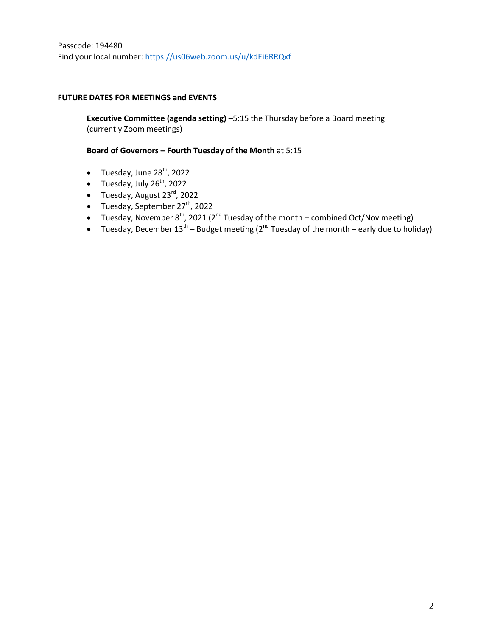### **FUTURE DATES FOR MEETINGS and EVENTS**

**Executive Committee (agenda setting)** –5:15 the Thursday before a Board meeting (currently Zoom meetings)

### **Board of Governors – Fourth Tuesday of the Month** at 5:15

- $\bullet$  Tuesday, June 28<sup>th</sup>, 2022
- Tuesday, July  $26^{th}$ , 2022
- $\bullet$  Tuesday, August 23 $^{\text{rd}}$ , 2022
- $\bullet$  Tuesday, September 27<sup>th</sup>, 2022
- Tuesday, November  $8^{th}$ , 2021 ( $2^{nd}$  Tuesday of the month combined Oct/Nov meeting)
- Tuesday, December 13<sup>th</sup> Budget meeting (2<sup>nd</sup> Tuesday of the month early due to holiday)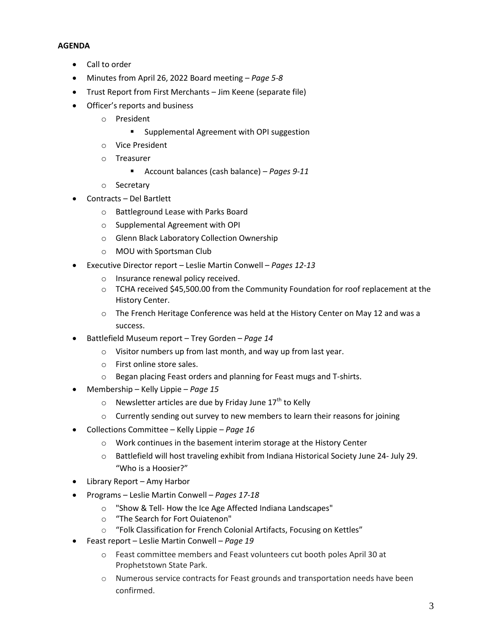### **AGENDA**

- Call to order
- Minutes from April 26, 2022 Board meeting *Page 5-8*
- Trust Report from First Merchants Jim Keene (separate file)
- Officer's reports and business
	- o President
		- **Supplemental Agreement with OPI suggestion**
	- o Vice President
	- o Treasurer
		- Account balances (cash balance) *Pages 9-11*
	- o Secretary
- Contracts Del Bartlett
	- o Battleground Lease with Parks Board
	- o Supplemental Agreement with OPI
	- o Glenn Black Laboratory Collection Ownership
	- o MOU with Sportsman Club
- Executive Director report Leslie Martin Conwell *Pages 12-13*
	- o Insurance renewal policy received.
	- $\circ$  TCHA received \$45,500.00 from the Community Foundation for roof replacement at the History Center.
	- $\circ$  The French Heritage Conference was held at the History Center on May 12 and was a success.
- Battlefield Museum report Trey Gorden *Page 14*
	- o Visitor numbers up from last month, and way up from last year.
	- o First online store sales.
	- o Began placing Feast orders and planning for Feast mugs and T-shirts.
- Membership Kelly Lippie *Page 15*
	- $\circ$  Newsletter articles are due by Friday June 17<sup>th</sup> to Kelly
	- o Currently sending out survey to new members to learn their reasons for joining
- Collections Committee Kelly Lippie *Page 16*
	- o Work continues in the basement interim storage at the History Center
	- o Battlefield will host traveling exhibit from Indiana Historical Society June 24- July 29. "Who is a Hoosier?"
- Library Report Amy Harbor
- Programs Leslie Martin Conwell *Pages 17-18*
	- o "Show & Tell- How the Ice Age Affected Indiana Landscapes"
	- o "The Search for Fort Ouiatenon"
	- o "Folk Classification for French Colonial Artifacts, Focusing on Kettles"
- Feast report Leslie Martin Conwell *Page 19*
	- o Feast committee members and Feast volunteers cut booth poles April 30 at Prophetstown State Park.
	- o Numerous service contracts for Feast grounds and transportation needs have been confirmed.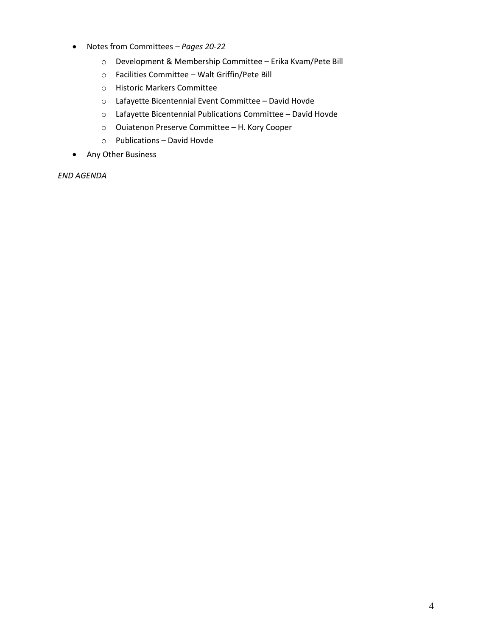- Notes from Committees *– Pages 20-22*
	- o Development & Membership Committee Erika Kvam/Pete Bill
	- o Facilities Committee Walt Griffin/Pete Bill
	- o Historic Markers Committee
	- o Lafayette Bicentennial Event Committee David Hovde
	- o Lafayette Bicentennial Publications Committee David Hovde
	- o Ouiatenon Preserve Committee H. Kory Cooper
	- o Publications David Hovde
- Any Other Business

*END AGENDA*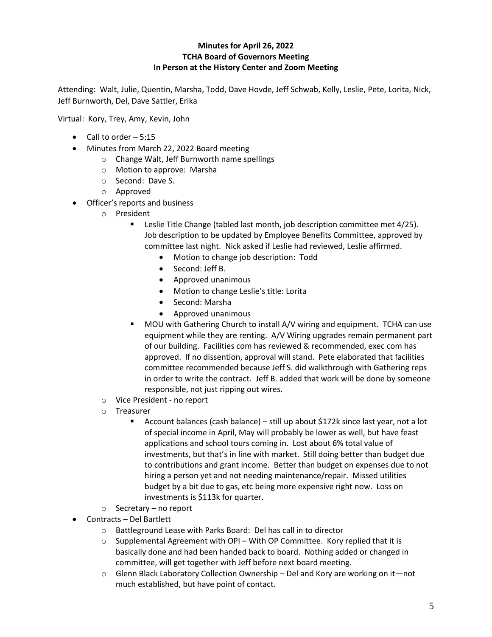## **Minutes for April 26, 2022 TCHA Board of Governors Meeting In Person at the History Center and Zoom Meeting**

Attending: Walt, Julie, Quentin, Marsha, Todd, Dave Hovde, Jeff Schwab, Kelly, Leslie, Pete, Lorita, Nick, Jeff Burnworth, Del, Dave Sattler, Erika

Virtual: Kory, Trey, Amy, Kevin, John

- $\bullet$  Call to order  $-5:15$
- Minutes from March 22, 2022 Board meeting
	- o Change Walt, Jeff Burnworth name spellings
	- o Motion to approve: Marsha
	- o Second: Dave S.
	- o Approved
- Officer's reports and business
	- o President
		- **EXECTE 20** Leslie Title Change (tabled last month, job description committee met 4/25). Job description to be updated by Employee Benefits Committee, approved by committee last night. Nick asked if Leslie had reviewed, Leslie affirmed.
			- Motion to change job description: Todd
			- Second: Jeff B.
			- Approved unanimous
			- Motion to change Leslie's title: Lorita
			- Second: Marsha
			- Approved unanimous
		- MOU with Gathering Church to install A/V wiring and equipment. TCHA can use equipment while they are renting. A/V Wiring upgrades remain permanent part of our building. Facilities com has reviewed & recommended, exec com has approved. If no dissention, approval will stand. Pete elaborated that facilities committee recommended because Jeff S. did walkthrough with Gathering reps in order to write the contract. Jeff B. added that work will be done by someone responsible, not just ripping out wires.
	- o Vice President no report
	- o Treasurer
		- Account balances (cash balance) still up about \$172k since last year, not a lot of special income in April, May will probably be lower as well, but have feast applications and school tours coming in. Lost about 6% total value of investments, but that's in line with market. Still doing better than budget due to contributions and grant income. Better than budget on expenses due to not hiring a person yet and not needing maintenance/repair. Missed utilities budget by a bit due to gas, etc being more expensive right now. Loss on investments is \$113k for quarter.
	- o Secretary no report
- Contracts Del Bartlett
	- o Battleground Lease with Parks Board: Del has call in to director
	- $\circ$  Supplemental Agreement with OPI With OP Committee. Kory replied that it is basically done and had been handed back to board. Nothing added or changed in committee, will get together with Jeff before next board meeting.
	- $\circ$  Glenn Black Laboratory Collection Ownership Del and Kory are working on it—not much established, but have point of contact.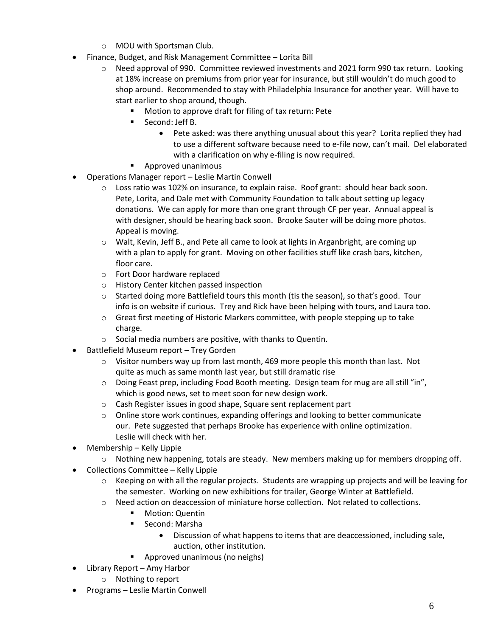- o MOU with Sportsman Club.
- Finance, Budget, and Risk Management Committee Lorita Bill
	- $\circ$  Need approval of 990. Committee reviewed investments and 2021 form 990 tax return. Looking at 18% increase on premiums from prior year for insurance, but still wouldn't do much good to shop around. Recommended to stay with Philadelphia Insurance for another year. Will have to start earlier to shop around, though.
		- Motion to approve draft for filing of tax return: Pete
		- **Second: Jeff B.** 
			- Pete asked: was there anything unusual about this year? Lorita replied they had to use a different software because need to e-file now, can't mail. Del elaborated with a clarification on why e-filing is now required.
		- **Approved unanimous**
- Operations Manager report Leslie Martin Conwell
	- $\circ$  Loss ratio was 102% on insurance, to explain raise. Roof grant: should hear back soon. Pete, Lorita, and Dale met with Community Foundation to talk about setting up legacy donations. We can apply for more than one grant through CF per year. Annual appeal is with designer, should be hearing back soon. Brooke Sauter will be doing more photos. Appeal is moving.
	- o Walt, Kevin, Jeff B., and Pete all came to look at lights in Arganbright, are coming up with a plan to apply for grant. Moving on other facilities stuff like crash bars, kitchen, floor care.
	- o Fort Door hardware replaced
	- o History Center kitchen passed inspection
	- o Started doing more Battlefield tours this month (tis the season), so that's good. Tour info is on website if curious. Trey and Rick have been helping with tours, and Laura too.
	- $\circ$  Great first meeting of Historic Markers committee, with people stepping up to take charge.
	- o Social media numbers are positive, with thanks to Quentin.
- Battlefield Museum report Trey Gorden
	- $\circ$  Visitor numbers way up from last month, 469 more people this month than last. Not quite as much as same month last year, but still dramatic rise
	- o Doing Feast prep, including Food Booth meeting. Design team for mug are all still "in", which is good news, set to meet soon for new design work.
	- o Cash Register issues in good shape, Square sent replacement part
	- $\circ$  Online store work continues, expanding offerings and looking to better communicate our. Pete suggested that perhaps Brooke has experience with online optimization. Leslie will check with her.
- Membership Kelly Lippie
	- $\circ$  Nothing new happening, totals are steady. New members making up for members dropping off.
- Collections Committee Kelly Lippie
	- $\circ$  Keeping on with all the regular projects. Students are wrapping up projects and will be leaving for the semester. Working on new exhibitions for trailer, George Winter at Battlefield.
	- o Need action on deaccession of miniature horse collection. Not related to collections.
		- Motion: Quentin
			- Second: Marsha
				- Discussion of what happens to items that are deaccessioned, including sale, auction, other institution.
			- **Approved unanimous (no neighs)**
- Library Report Amy Harbor
	- o Nothing to report
- Programs Leslie Martin Conwell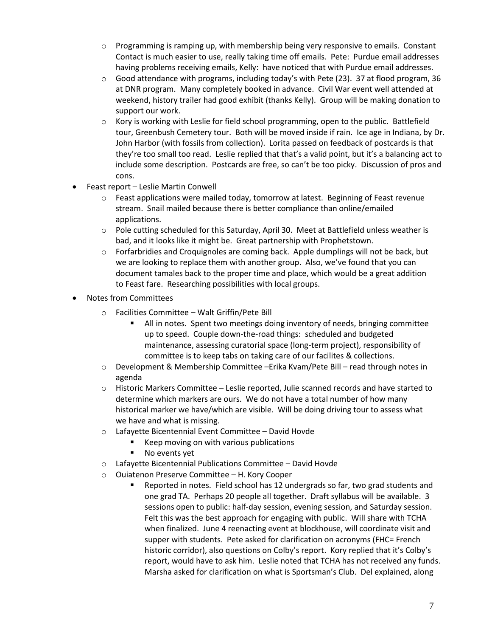- $\circ$  Programming is ramping up, with membership being very responsive to emails. Constant Contact is much easier to use, really taking time off emails. Pete: Purdue email addresses having problems receiving emails, Kelly: have noticed that with Purdue email addresses.
- $\circ$  Good attendance with programs, including today's with Pete (23). 37 at flood program, 36 at DNR program. Many completely booked in advance. Civil War event well attended at weekend, history trailer had good exhibit (thanks Kelly). Group will be making donation to support our work.
- $\circ$  Kory is working with Leslie for field school programming, open to the public. Battlefield tour, Greenbush Cemetery tour. Both will be moved inside if rain. Ice age in Indiana, by Dr. John Harbor (with fossils from collection). Lorita passed on feedback of postcards is that they're too small too read. Leslie replied that that's a valid point, but it's a balancing act to include some description. Postcards are free, so can't be too picky. Discussion of pros and cons.
- Feast report Leslie Martin Conwell
	- $\circ$  Feast applications were mailed today, tomorrow at latest. Beginning of Feast revenue stream. Snail mailed because there is better compliance than online/emailed applications.
	- o Pole cutting scheduled for this Saturday, April 30. Meet at Battlefield unless weather is bad, and it looks like it might be. Great partnership with Prophetstown.
	- o Forfarbridies and Croquignoles are coming back. Apple dumplings will not be back, but we are looking to replace them with another group. Also, we've found that you can document tamales back to the proper time and place, which would be a great addition to Feast fare. Researching possibilities with local groups.
- Notes from Committees
	- o Facilities Committee Walt Griffin/Pete Bill
		- All in notes. Spent two meetings doing inventory of needs, bringing committee up to speed. Couple down-the-road things: scheduled and budgeted maintenance, assessing curatorial space (long-term project), responsibility of committee is to keep tabs on taking care of our facilites & collections.
	- o Development & Membership Committee –Erika Kvam/Pete Bill read through notes in agenda
	- $\circ$  Historic Markers Committee Leslie reported, Julie scanned records and have started to determine which markers are ours. We do not have a total number of how many historical marker we have/which are visible. Will be doing driving tour to assess what we have and what is missing.
	- o Lafayette Bicentennial Event Committee David Hovde
		- Keep moving on with various publications
		- **No events yet**
	- o Lafayette Bicentennial Publications Committee David Hovde
	- o Ouiatenon Preserve Committee H. Kory Cooper
		- Reported in notes. Field school has 12 undergrads so far, two grad students and one grad TA. Perhaps 20 people all together. Draft syllabus will be available. 3 sessions open to public: half-day session, evening session, and Saturday session. Felt this was the best approach for engaging with public. Will share with TCHA when finalized. June 4 reenacting event at blockhouse, will coordinate visit and supper with students. Pete asked for clarification on acronyms (FHC= French historic corridor), also questions on Colby's report. Kory replied that it's Colby's report, would have to ask him. Leslie noted that TCHA has not received any funds. Marsha asked for clarification on what is Sportsman's Club. Del explained, along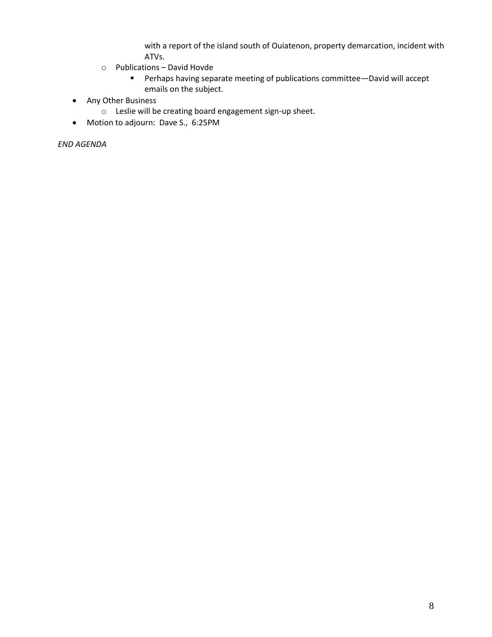with a report of the island south of Ouiatenon, property demarcation, incident with ATVs.

- o Publications David Hovde
	- Perhaps having separate meeting of publications committee—David will accept emails on the subject.
- Any Other Business
	- o Leslie will be creating board engagement sign-up sheet.
- Motion to adjourn: Dave S., 6:25PM

*END AGENDA*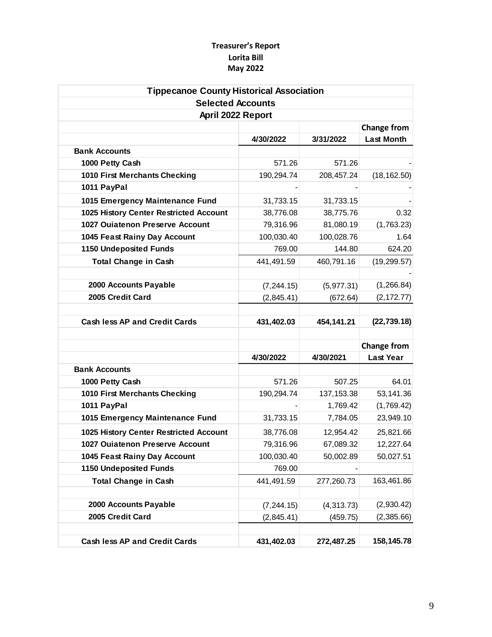# **Treasurer's Report Lorita Bill May 2022**

| <b>Tippecanoe County Historical Association</b> |             |             |                        |
|-------------------------------------------------|-------------|-------------|------------------------|
| <b>Selected Accounts</b>                        |             |             |                        |
| April 2022 Report                               |             |             |                        |
|                                                 |             |             | <b>Change from</b>     |
|                                                 | 4/30/2022   | 3/31/2022   | <b>Last Month</b>      |
| <b>Bank Accounts</b>                            |             |             |                        |
| 1000 Petty Cash                                 | 571.26      | 571.26      |                        |
| 1010 First Merchants Checking                   | 190,294.74  | 208,457.24  | (18, 162.50)           |
| 1011 PayPal                                     |             |             |                        |
| 1015 Emergency Maintenance Fund                 | 31,733.15   | 31,733.15   |                        |
| 1025 History Center Restricted Account          | 38,776.08   | 38,775.76   | 0.32                   |
| <b>1027 Ouiatenon Preserve Account</b>          | 79,316.96   | 81,080.19   | (1,763.23)             |
| 1045 Feast Rainy Day Account                    | 100,030.40  | 100,028.76  | 1.64                   |
| <b>1150 Undeposited Funds</b>                   | 769.00      | 144.80      | 624.20                 |
| <b>Total Change in Cash</b>                     | 441,491.59  | 460,791.16  | (19, 299.57)           |
|                                                 |             |             |                        |
| 2000 Accounts Payable                           | (7, 244.15) | (5,977.31)  | (1,266.84)             |
| 2005 Credit Card                                | (2,845.41)  | (672.64)    | (2, 172.77)            |
|                                                 |             |             |                        |
|                                                 |             |             |                        |
| <b>Cash less AP and Credit Cards</b>            | 431,402.03  | 454,141.21  | (22, 739.18)           |
|                                                 |             |             |                        |
|                                                 |             |             | <b>Change from</b>     |
|                                                 | 4/30/2022   | 4/30/2021   | <b>Last Year</b>       |
| <b>Bank Accounts</b>                            |             |             |                        |
| 1000 Petty Cash                                 | 571.26      | 507.25      | 64.01                  |
| 1010 First Merchants Checking                   | 190,294.74  | 137, 153.38 | 53,141.36              |
| 1011 PayPal                                     |             | 1,769.42    | (1,769.42)             |
| 1015 Emergency Maintenance Fund                 | 31,733.15   | 7,784.05    |                        |
| 1025 History Center Restricted Account          | 38,776.08   | 12,954.42   | 25,821.66              |
| 1027 Ouiatenon Preserve Account                 | 79,316.96   | 67,089.32   | 23,949.10<br>12,227.64 |
| 1045 Feast Rainy Day Account                    | 100,030.40  | 50,002.89   | 50,027.51              |
| <b>1150 Undeposited Funds</b>                   | 769.00      |             |                        |
| <b>Total Change in Cash</b>                     | 441,491.59  | 277,260.73  |                        |
|                                                 |             |             |                        |
| 2000 Accounts Payable                           | (7, 244.15) | (4,313.73)  | (2,930.42)             |
| 2005 Credit Card                                | (2,845.41)  | (459.75)    | (2,385.66)             |
|                                                 |             |             | 163,461.86             |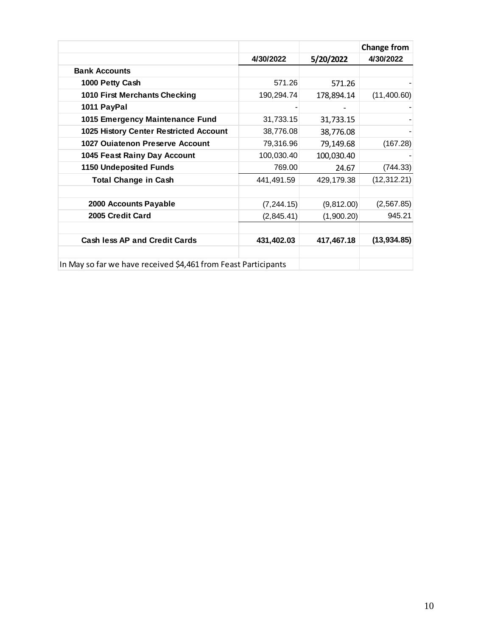|                                                                |             |            | <b>Change from</b> |
|----------------------------------------------------------------|-------------|------------|--------------------|
|                                                                | 4/30/2022   | 5/20/2022  | 4/30/2022          |
| <b>Bank Accounts</b>                                           |             |            |                    |
| 1000 Petty Cash                                                | 571.26      | 571.26     |                    |
| 1010 First Merchants Checking                                  | 190,294.74  | 178,894.14 | (11,400.60)        |
| 1011 PayPal                                                    |             |            |                    |
| 1015 Emergency Maintenance Fund                                | 31,733.15   | 31,733.15  |                    |
| 1025 History Center Restricted Account                         | 38,776.08   | 38,776.08  |                    |
| 1027 Ouiatenon Preserve Account                                | 79,316.96   | 79,149.68  | (167.28)           |
| 1045 Feast Rainy Day Account                                   | 100,030.40  | 100,030.40 |                    |
| <b>1150 Undeposited Funds</b>                                  | 769.00      | 24.67      | (744.33)           |
| <b>Total Change in Cash</b>                                    | 441,491.59  | 429,179.38 | (12, 312.21)       |
|                                                                |             |            |                    |
| 2000 Accounts Payable                                          | (7, 244.15) | (9,812.00) | (2, 567.85)        |
| 2005 Credit Card                                               | (2,845.41)  | (1,900.20) | 945.21             |
|                                                                |             |            |                    |
| <b>Cash less AP and Credit Cards</b>                           | 431,402.03  | 417,467.18 | (13, 934.85)       |
|                                                                |             |            |                    |
| In May so far we have received \$4,461 from Feast Participants |             |            |                    |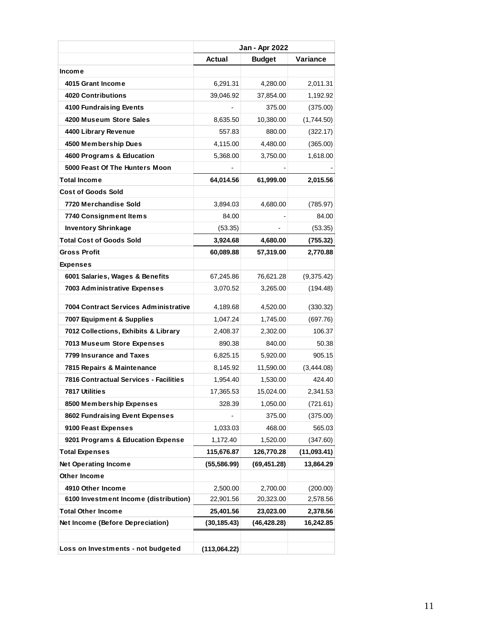|                                                                      |                       | Jan - Apr 2022        |                      |
|----------------------------------------------------------------------|-----------------------|-----------------------|----------------------|
|                                                                      | Actual                | <b>Budget</b>         | Variance             |
| Income                                                               |                       |                       |                      |
| 4015 Grant Income                                                    | 6,291.31              | 4,280.00              | 2,011.31             |
| <b>4020 Contributions</b>                                            | 39,046.92             | 37,854.00             | 1,192.92             |
| 4100 Fundraising Events                                              |                       | 375.00                | (375.00)             |
| 4200 Museum Store Sales                                              | 8,635.50              | 10,380.00             | (1,744.50)           |
| 4400 Library Revenue                                                 | 557.83                | 880.00                | (322.17)             |
| 4500 Membership Dues                                                 | 4,115.00              | 4,480.00              | (365.00)             |
| 4600 Programs & Education                                            | 5,368.00              | 3,750.00              | 1,618.00             |
| 5000 Feast Of The Hunters Moon                                       |                       |                       |                      |
| <b>Total Income</b>                                                  | 64,014.56             | 61,999.00             | 2,015.56             |
| <b>Cost of Goods Sold</b>                                            |                       |                       |                      |
| 7720 Merchandise Sold                                                | 3,894.03              | 4,680.00              | (785.97)             |
| 7740 Consignment Items                                               | 84.00                 |                       | 84.00                |
| <b>Inventory Shrinkage</b>                                           | (53.35)               |                       | (53.35)              |
| <b>Total Cost of Goods Sold</b>                                      | 3,924.68              | 4,680.00              | (755.32)             |
| <b>Gross Profit</b>                                                  | 60,089.88             | 57,319.00             | 2,770.88             |
| <b>Expenses</b>                                                      |                       |                       |                      |
| 6001 Salaries, Wages & Benefits                                      | 67,245.86             | 76,621.28             | (9,375.42)           |
| 7003 Administrative Expenses                                         | 3,070.52              | 3,265.00              | (194.48)             |
| 7004 Contract Services Administrative                                |                       |                       |                      |
|                                                                      | 4,189.68<br>1,047.24  | 4,520.00<br>1,745.00  | (330.32)<br>(697.76) |
| 7007 Equipment & Supplies<br>7012 Collections, Exhibits & Library    | 2,408.37              |                       | 106.37               |
| 7013 Museum Store Expenses                                           | 890.38                | 2,302.00<br>840.00    | 50.38                |
| 7799 Insurance and Taxes                                             |                       |                       | 905.15               |
|                                                                      | 6,825.15<br>8,145.92  | 5,920.00<br>11,590.00 | (3,444.08)           |
| 7815 Repairs & Maintenance<br>7816 Contractual Services - Facilities | 1,954.40              | 1,530.00              | 424.40               |
| 7817 Utilities                                                       | 17,365.53             | 15,024.00             | 2,341.53             |
| 8500 Membership Expenses                                             |                       |                       | (721.61)             |
| 8602 Fundraising Event Expenses                                      | 328.39                | 1,050.00<br>375.00    | (375.00)             |
| 9100 Feast Expenses                                                  | 1,033.03              | 468.00                | 565.03               |
| 9201 Programs & Education Expense                                    | 1,172.40              | 1,520.00              | (347.60)             |
|                                                                      | 115,676.87            |                       | (11,093.41)          |
| <b>Total Expenses</b><br><b>Net Operating Income</b>                 |                       | 126,770.28            | 13,864.29            |
| Other Income                                                         | (55, 586.99)          | (69, 451.28)          |                      |
| 4910 Other Income                                                    |                       | 2,700.00              |                      |
| 6100 Investment Income (distribution)                                | 2,500.00<br>22,901.56 | 20,323.00             | (200.00)<br>2,578.56 |
| <b>Total Other Income</b>                                            | 25,401.56             | 23,023.00             | 2,378.56             |
| Net Income (Before Depreciation)                                     | (30, 185.43)          | (46, 428.28)          | 16,242.85            |
|                                                                      |                       |                       |                      |
|                                                                      |                       |                       |                      |
| Loss on Investments - not budgeted                                   | (113,064.22)          |                       |                      |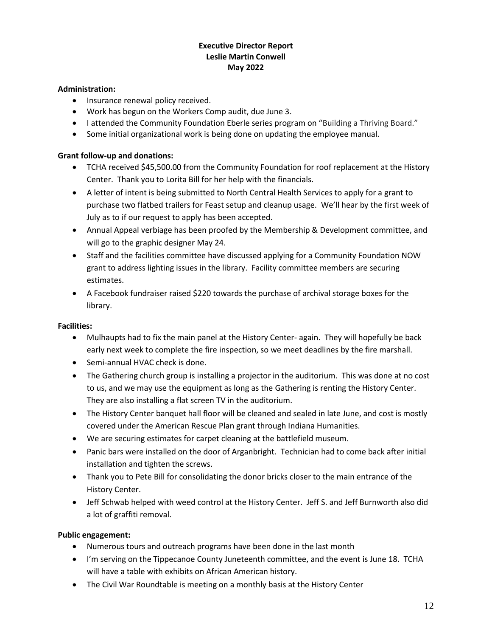# **Executive Director Report Leslie Martin Conwell May 2022**

# **Administration:**

- Insurance renewal policy received.
- Work has begun on the Workers Comp audit, due June 3.
- I attended the Community Foundation Eberle series program on "Building a Thriving Board."
- Some initial organizational work is being done on updating the employee manual.

# **Grant follow-up and donations:**

- TCHA received \$45,500.00 from the Community Foundation for roof replacement at the History Center. Thank you to Lorita Bill for her help with the financials.
- A letter of intent is being submitted to North Central Health Services to apply for a grant to purchase two flatbed trailers for Feast setup and cleanup usage. We'll hear by the first week of July as to if our request to apply has been accepted.
- Annual Appeal verbiage has been proofed by the Membership & Development committee, and will go to the graphic designer May 24.
- Staff and the facilities committee have discussed applying for a Community Foundation NOW grant to address lighting issues in the library. Facility committee members are securing estimates.
- A Facebook fundraiser raised \$220 towards the purchase of archival storage boxes for the library.

# **Facilities:**

- Mulhaupts had to fix the main panel at the History Center- again. They will hopefully be back early next week to complete the fire inspection, so we meet deadlines by the fire marshall.
- Semi-annual HVAC check is done.
- The Gathering church group is installing a projector in the auditorium. This was done at no cost to us, and we may use the equipment as long as the Gathering is renting the History Center. They are also installing a flat screen TV in the auditorium.
- The History Center banquet hall floor will be cleaned and sealed in late June, and cost is mostly covered under the American Rescue Plan grant through Indiana Humanities.
- We are securing estimates for carpet cleaning at the battlefield museum.
- Panic bars were installed on the door of Arganbright. Technician had to come back after initial installation and tighten the screws.
- Thank you to Pete Bill for consolidating the donor bricks closer to the main entrance of the History Center.
- Jeff Schwab helped with weed control at the History Center. Jeff S. and Jeff Burnworth also did a lot of graffiti removal.

# **Public engagement:**

- Numerous tours and outreach programs have been done in the last month
- I'm serving on the Tippecanoe County Juneteenth committee, and the event is June 18. TCHA will have a table with exhibits on African American history.
- The Civil War Roundtable is meeting on a monthly basis at the History Center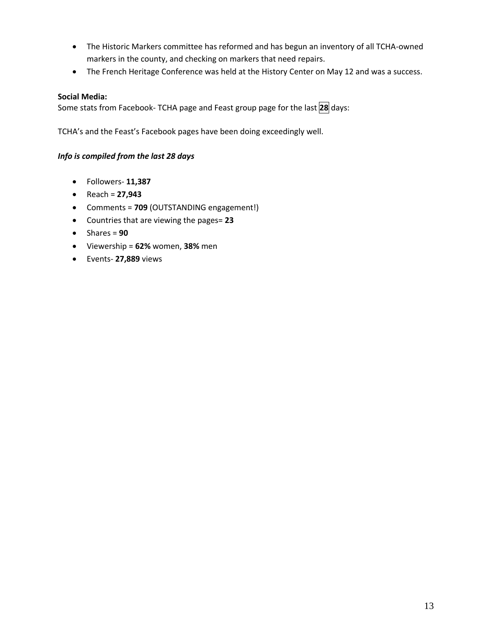- The Historic Markers committee has reformed and has begun an inventory of all TCHA-owned markers in the county, and checking on markers that need repairs.
- The French Heritage Conference was held at the History Center on May 12 and was a success.

## **Social Media:**

Some stats from Facebook- TCHA page and Feast group page for the last **28** days:

TCHA's and the Feast's Facebook pages have been doing exceedingly well.

### *Info is compiled from the last 28 days*

- Followers- **11,387**
- Reach = **27,943**
- Comments = **709** (OUTSTANDING engagement!)
- Countries that are viewing the pages= **23**
- $\bullet$  Shares =  $90$
- Viewership = **62%** women, **38%** men
- Events- **27,889** views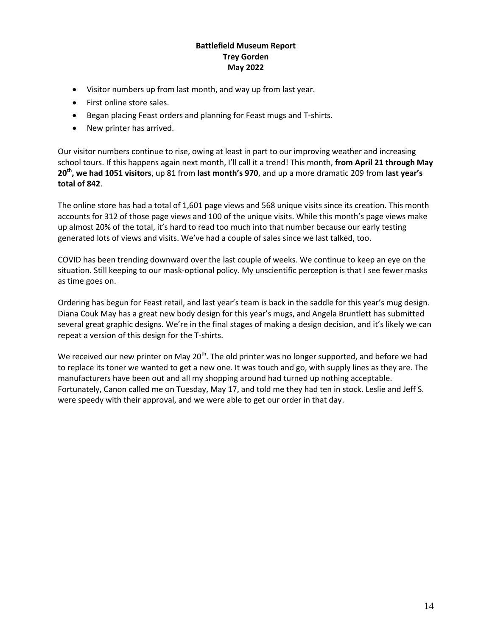## **Battlefield Museum Report Trey Gorden May 2022**

- Visitor numbers up from last month, and way up from last year.
- First online store sales.
- Began placing Feast orders and planning for Feast mugs and T-shirts.
- New printer has arrived.

Our visitor numbers continue to rise, owing at least in part to our improving weather and increasing school tours. If this happens again next month, I'll call it a trend! This month, **from April 21 through May 20th, we had 1051 visitors**, up 81 from **last month's 970**, and up a more dramatic 209 from **last year's total of 842**.

The online store has had a total of 1,601 page views and 568 unique visits since its creation. This month accounts for 312 of those page views and 100 of the unique visits. While this month's page views make up almost 20% of the total, it's hard to read too much into that number because our early testing generated lots of views and visits. We've had a couple of sales since we last talked, too.

COVID has been trending downward over the last couple of weeks. We continue to keep an eye on the situation. Still keeping to our mask-optional policy. My unscientific perception is that I see fewer masks as time goes on.

Ordering has begun for Feast retail, and last year's team is back in the saddle for this year's mug design. Diana Couk May has a great new body design for this year's mugs, and Angela Bruntlett has submitted several great graphic designs. We're in the final stages of making a design decision, and it's likely we can repeat a version of this design for the T-shirts.

We received our new printer on May  $20<sup>th</sup>$ . The old printer was no longer supported, and before we had to replace its toner we wanted to get a new one. It was touch and go, with supply lines as they are. The manufacturers have been out and all my shopping around had turned up nothing acceptable. Fortunately, Canon called me on Tuesday, May 17, and told me they had ten in stock. Leslie and Jeff S. were speedy with their approval, and we were able to get our order in that day.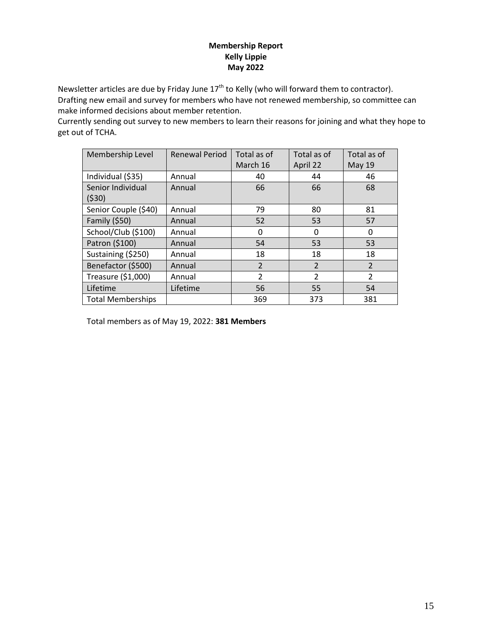# **Membership Report Kelly Lippie May 2022**

Newsletter articles are due by Friday June  $17<sup>th</sup>$  to Kelly (who will forward them to contractor). Drafting new email and survey for members who have not renewed membership, so committee can make informed decisions about member retention.

Currently sending out survey to new members to learn their reasons for joining and what they hope to get out of TCHA.

| Membership Level         | <b>Renewal Period</b> | Total as of    | Total as of    | Total as of    |
|--------------------------|-----------------------|----------------|----------------|----------------|
|                          |                       | March 16       | April 22       | <b>May 19</b>  |
| Individual (\$35)        | Annual                | 40             | 44             | 46             |
| Senior Individual        | Annual                | 66             | 66             | 68             |
| (530)                    |                       |                |                |                |
| Senior Couple (\$40)     | Annual                | 79             | 80             | 81             |
| Family (\$50)            | Annual                | 52             | 53             | 57             |
| School/Club (\$100)      | Annual                | 0              | $\Omega$       | 0              |
| Patron (\$100)           | Annual                | 54             | 53             | 53             |
| Sustaining (\$250)       | Annual                | 18             | 18             | 18             |
| Benefactor (\$500)       | Annual                | $\overline{2}$ | $\overline{2}$ | $\overline{2}$ |
| Treasure (\$1,000)       | Annual                | $\overline{2}$ | $\overline{2}$ | 2              |
| Lifetime                 | Lifetime              | 56             | 55             | 54             |
| <b>Total Memberships</b> |                       | 369            | 373            | 381            |

Total members as of May 19, 2022: **381 Members**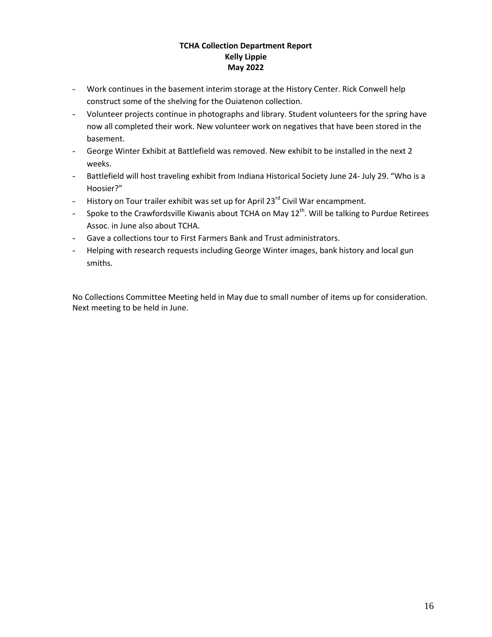# **TCHA Collection Department Report Kelly Lippie May 2022**

- Work continues in the basement interim storage at the History Center. Rick Conwell help construct some of the shelving for the Ouiatenon collection.
- Volunteer projects continue in photographs and library. Student volunteers for the spring have now all completed their work. New volunteer work on negatives that have been stored in the basement.
- George Winter Exhibit at Battlefield was removed. New exhibit to be installed in the next 2 weeks.
- Battlefield will host traveling exhibit from Indiana Historical Society June 24- July 29. "Who is a Hoosier?"
- History on Tour trailer exhibit was set up for April  $23^{rd}$  Civil War encampment.
- Spoke to the Crawfordsville Kiwanis about TCHA on May  $12^{th}$ . Will be talking to Purdue Retirees Assoc. in June also about TCHA.
- Gave a collections tour to First Farmers Bank and Trust administrators.
- Helping with research requests including George Winter images, bank history and local gun smiths.

No Collections Committee Meeting held in May due to small number of items up for consideration. Next meeting to be held in June.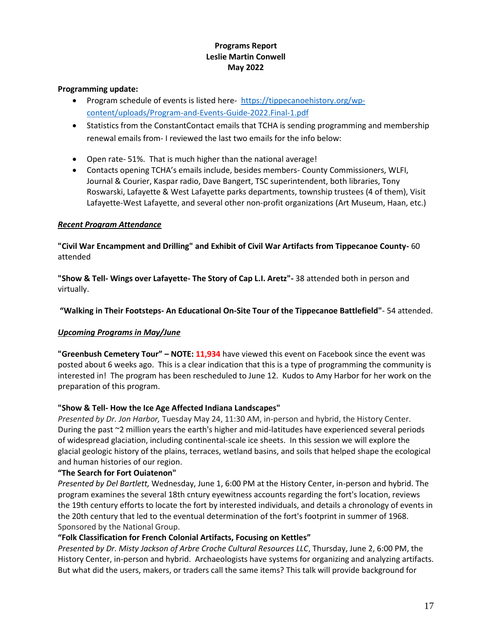# **Programs Report Leslie Martin Conwell May 2022**

### **Programming update:**

- Program schedule of events is listed here- [https://tippecanoehistory.org/wp](https://tippecanoehistory.org/wp-content/uploads/Program-and-Events-Guide-2022.Final-1.pdf)[content/uploads/Program-and-Events-Guide-2022.Final-1.pdf](https://tippecanoehistory.org/wp-content/uploads/Program-and-Events-Guide-2022.Final-1.pdf)
- Statistics from the ConstantContact emails that TCHA is sending programming and membership renewal emails from- I reviewed the last two emails for the info below:
- Open rate- 51%. That is much higher than the national average!
- Contacts opening TCHA's emails include, besides members- County Commissioners, WLFI, Journal & Courier, Kaspar radio, Dave Bangert, TSC superintendent, both libraries, Tony Roswarski, Lafayette & West Lafayette parks departments, township trustees (4 of them), Visit Lafayette-West Lafayette, and several other non-profit organizations (Art Museum, Haan, etc.)

# *Recent Program Attendance*

**"Civil War Encampment and Drilling" and Exhibit of Civil War Artifacts from Tippecanoe County-** 60 attended

**"Show & Tell- Wings over Lafayette- The Story of Cap L.I. Aretz"-** 38 attended both in person and virtually.

# **"Walking in Their Footsteps- An Educational On-Site Tour of the Tippecanoe Battlefield"**- 54 attended.

# *Upcoming Programs in May/June*

**"Greenbush Cemetery Tour" – NOTE: 11,934** have viewed this event on Facebook since the event was posted about 6 weeks ago. This is a clear indication that this is a type of programming the community is interested in! The program has been rescheduled to June 12. Kudos to Amy Harbor for her work on the preparation of this program.

### **"Show & Tell- How the Ice Age Affected Indiana Landscapes"**

*Presented by Dr. Jon Harbor,* Tuesday May 24, 11:30 AM, in-person and hybrid, the History Center. During the past ~2 million years the earth's higher and mid-latitudes have experienced several periods of widespread glaciation, including continental-scale ice sheets. In this session we will explore the glacial geologic history of the plains, terraces, wetland basins, and soils that helped shape the ecological and human histories of our region.

### **"The Search for Fort Ouiatenon"**

*Presented by Del Bartlett,* Wednesday, June 1, 6:00 PM at the History Center, in-person and hybrid. The program examines the several 18th cntury eyewitness accounts regarding the fort's location, reviews the 19th century efforts to locate the fort by interested individuals, and details a chronology of events in the 20th century that led to the eventual determination of the fort's footprint in summer of 1968. Sponsored by the National Group.

# **"Folk Classification for French Colonial Artifacts, Focusing on Kettles"**

*Presented by Dr. Misty Jackson of Arbre Croche Cultural Resources LLC*, Thursday, June 2, 6:00 PM, the History Center, in-person and hybrid. Archaeologists have systems for organizing and analyzing artifacts. But what did the users, makers, or traders call the same items? This talk will provide background for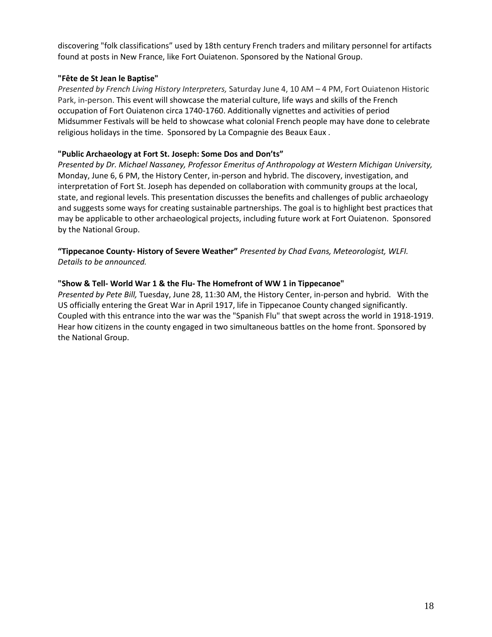discovering "folk classifications" used by 18th century French traders and military personnel for artifacts found at posts in New France, like Fort Ouiatenon. Sponsored by the National Group.

### **"Fête de St Jean le Baptise"**

*Presented by French Living History Interpreters,* Saturday June 4, 10 AM – 4 PM, Fort Ouiatenon Historic Park, in-person. This event will showcase the material culture, life ways and skills of the French occupation of Fort Ouiatenon circa 1740-1760. Additionally vignettes and activities of period Midsummer Festivals will be held to showcase what colonial French people may have done to celebrate religious holidays in the time. Sponsored by La Compagnie des Beaux Eaux .

## **"Public Archaeology at Fort St. Joseph: Some Dos and Don'ts"**

*Presented by Dr. Michael Nassaney, Professor Emeritus of Anthropology at Western Michigan University,* Monday, June 6, 6 PM, the History Center, in-person and hybrid. The discovery, investigation, and interpretation of Fort St. Joseph has depended on collaboration with community groups at the local, state, and regional levels. This presentation discusses the benefits and challenges of public archaeology and suggests some ways for creating sustainable partnerships. The goal is to highlight best practices that may be applicable to other archaeological projects, including future work at Fort Ouiatenon. Sponsored by the National Group.

**"Tippecanoe County- History of Severe Weather"** *Presented by Chad Evans, Meteorologist, WLFI. Details to be announced.*

## **"Show & Tell- World War 1 & the Flu- The Homefront of WW 1 in Tippecanoe"**

*Presented by Pete Bill,* Tuesday, June 28, 11:30 AM, the History Center, in-person and hybrid. With the US officially entering the Great War in April 1917, life in Tippecanoe County changed significantly. Coupled with this entrance into the war was the "Spanish Flu" that swept across the world in 1918-1919. Hear how citizens in the county engaged in two simultaneous battles on the home front. Sponsored by the National Group.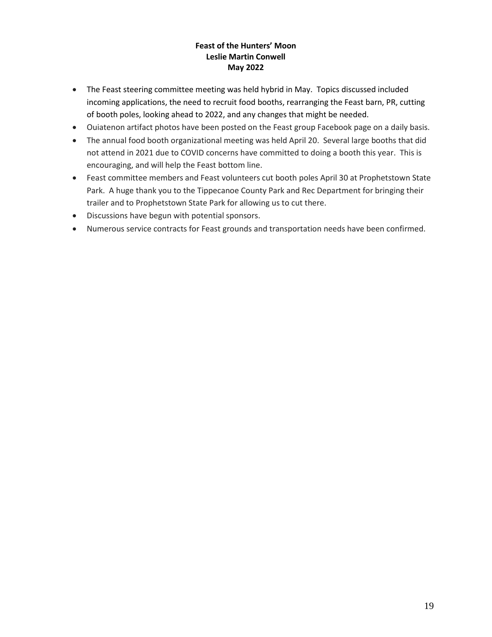# **Feast of the Hunters' Moon Leslie Martin Conwell May 2022**

- The Feast steering committee meeting was held hybrid in May. Topics discussed included incoming applications, the need to recruit food booths, rearranging the Feast barn, PR, cutting of booth poles, looking ahead to 2022, and any changes that might be needed.
- Ouiatenon artifact photos have been posted on the Feast group Facebook page on a daily basis.
- The annual food booth organizational meeting was held April 20. Several large booths that did not attend in 2021 due to COVID concerns have committed to doing a booth this year. This is encouraging, and will help the Feast bottom line.
- Feast committee members and Feast volunteers cut booth poles April 30 at Prophetstown State Park. A huge thank you to the Tippecanoe County Park and Rec Department for bringing their trailer and to Prophetstown State Park for allowing us to cut there.
- Discussions have begun with potential sponsors.
- Numerous service contracts for Feast grounds and transportation needs have been confirmed.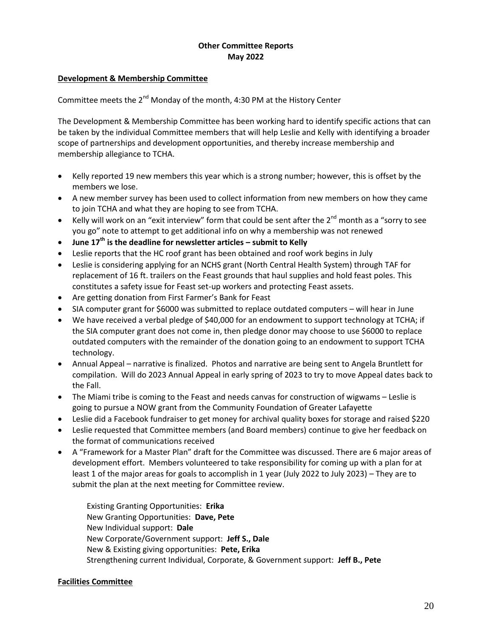## **Other Committee Reports May 2022**

#### **Development & Membership Committee**

Committee meets the  $2^{nd}$  Monday of the month, 4:30 PM at the History Center

The Development & Membership Committee has been working hard to identify specific actions that can be taken by the individual Committee members that will help Leslie and Kelly with identifying a broader scope of partnerships and development opportunities, and thereby increase membership and membership allegiance to TCHA.

- Kelly reported 19 new members this year which is a strong number; however, this is offset by the members we lose.
- A new member survey has been used to collect information from new members on how they came to join TCHA and what they are hoping to see from TCHA.
- Example Kelly will work on an "exit interview" form that could be sent after the 2<sup>nd</sup> month as a "sorry to see you go" note to attempt to get additional info on why a membership was not renewed
- **June 17th is the deadline for newsletter articles – submit to Kelly**
- Leslie reports that the HC roof grant has been obtained and roof work begins in July
- Leslie is considering applying for an NCHS grant (North Central Health System) through TAF for replacement of 16 ft. trailers on the Feast grounds that haul supplies and hold feast poles. This constitutes a safety issue for Feast set-up workers and protecting Feast assets.
- Are getting donation from First Farmer's Bank for Feast
- SIA computer grant for \$6000 was submitted to replace outdated computers will hear in June
- We have received a verbal pledge of \$40,000 for an endowment to support technology at TCHA; if the SIA computer grant does not come in, then pledge donor may choose to use \$6000 to replace outdated computers with the remainder of the donation going to an endowment to support TCHA technology.
- Annual Appeal narrative is finalized. Photos and narrative are being sent to Angela Bruntlett for compilation. Will do 2023 Annual Appeal in early spring of 2023 to try to move Appeal dates back to the Fall.
- The Miami tribe is coming to the Feast and needs canvas for construction of wigwams Leslie is going to pursue a NOW grant from the Community Foundation of Greater Lafayette
- Leslie did a Facebook fundraiser to get money for archival quality boxes for storage and raised \$220
- Leslie requested that Committee members (and Board members) continue to give her feedback on the format of communications received
- A "Framework for a Master Plan" draft for the Committee was discussed. There are 6 major areas of development effort. Members volunteered to take responsibility for coming up with a plan for at least 1 of the major areas for goals to accomplish in 1 year (July 2022 to July 2023) – They are to submit the plan at the next meeting for Committee review.

Existing Granting Opportunities: **Erika** New Granting Opportunities: **Dave, Pete** New Individual support: **Dale** New Corporate/Government support: **Jeff S., Dale** New & Existing giving opportunities: **Pete, Erika** Strengthening current Individual, Corporate, & Government support: **Jeff B., Pete**

### **Facilities Committee**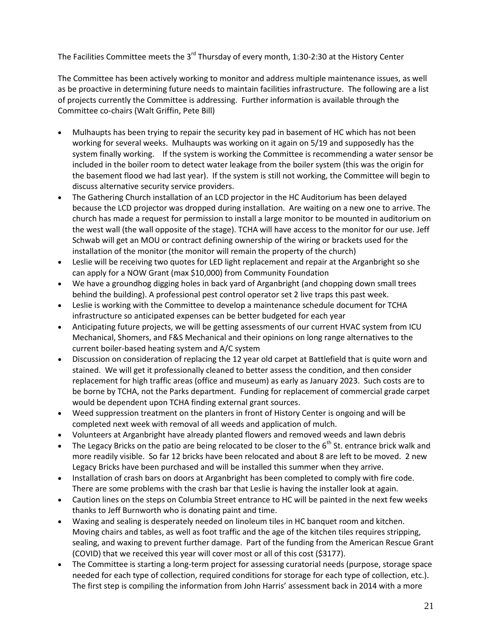The Facilities Committee meets the  $3^{rd}$  Thursday of every month, 1:30-2:30 at the History Center

The Committee has been actively working to monitor and address multiple maintenance issues, as well as be proactive in determining future needs to maintain facilities infrastructure. The following are a list of projects currently the Committee is addressing. Further information is available through the Committee co-chairs (Walt Griffin, Pete Bill)

- Mulhaupts has been trying to repair the security key pad in basement of HC which has not been working for several weeks. Mulhaupts was working on it again on 5/19 and supposedly has the system finally working. If the system is working the Committee is recommending a water sensor be included in the boiler room to detect water leakage from the boiler system (this was the origin for the basement flood we had last year). If the system is still not working, the Committee will begin to discuss alternative security service providers.
- The Gathering Church installation of an LCD projector in the HC Auditorium has been delayed because the LCD projector was dropped during installation. Are waiting on a new one to arrive. The church has made a request for permission to install a large monitor to be mounted in auditorium on the west wall (the wall opposite of the stage). TCHA will have access to the monitor for our use. Jeff Schwab will get an MOU or contract defining ownership of the wiring or brackets used for the installation of the monitor (the monitor will remain the property of the church)
- Leslie will be receiving two quotes for LED light replacement and repair at the Arganbright so she can apply for a NOW Grant (max \$10,000) from Community Foundation
- We have a groundhog digging holes in back yard of Arganbright (and chopping down small trees behind the building). A professional pest control operator set 2 live traps this past week.
- Leslie is working with the Committee to develop a maintenance schedule document for TCHA infrastructure so anticipated expenses can be better budgeted for each year
- Anticipating future projects, we will be getting assessments of our current HVAC system from ICU Mechanical, Shomers, and F&S Mechanical and their opinions on long range alternatives to the current boiler-based heating system and A/C system
- Discussion on consideration of replacing the 12 year old carpet at Battlefield that is quite worn and stained. We will get it professionally cleaned to better assess the condition, and then consider replacement for high traffic areas (office and museum) as early as January 2023. Such costs are to be borne by TCHA, not the Parks department. Funding for replacement of commercial grade carpet would be dependent upon TCHA finding external grant sources.
- Weed suppression treatment on the planters in front of History Center is ongoing and will be completed next week with removal of all weeds and application of mulch.
- Volunteers at Arganbright have already planted flowers and removed weeds and lawn debris
- The Legacy Bricks on the patio are being relocated to be closer to the  $6<sup>th</sup>$  St. entrance brick walk and more readily visible. So far 12 bricks have been relocated and about 8 are left to be moved. 2 new Legacy Bricks have been purchased and will be installed this summer when they arrive.
- Installation of crash bars on doors at Arganbright has been completed to comply with fire code. There are some problems with the crash bar that Leslie is having the installer look at again.
- Caution lines on the steps on Columbia Street entrance to HC will be painted in the next few weeks thanks to Jeff Burnworth who is donating paint and time.
- Waxing and sealing is desperately needed on linoleum tiles in HC banquet room and kitchen. Moving chairs and tables, as well as foot traffic and the age of the kitchen tiles requires stripping, sealing, and waxing to prevent further damage. Part of the funding from the American Rescue Grant (COVID) that we received this year will cover most or all of this cost (\$3177).
- The Committee is starting a long-term project for assessing curatorial needs (purpose, storage space needed for each type of collection, required conditions for storage for each type of collection, etc.). The first step is compiling the information from John Harris' assessment back in 2014 with a more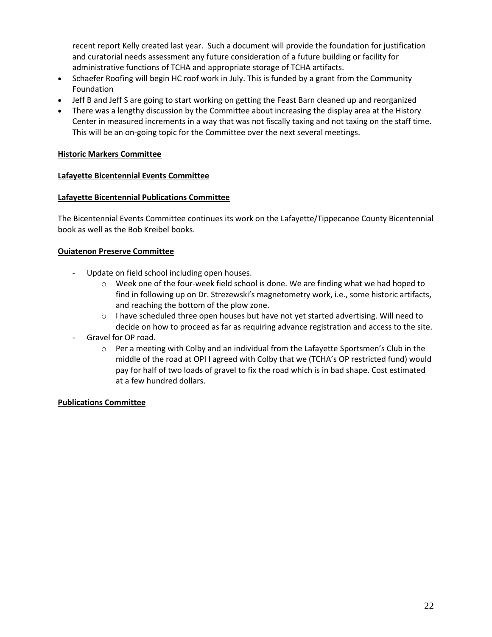recent report Kelly created last year. Such a document will provide the foundation for justification and curatorial needs assessment any future consideration of a future building or facility for administrative functions of TCHA and appropriate storage of TCHA artifacts.

- Schaefer Roofing will begin HC roof work in July. This is funded by a grant from the Community Foundation
- Jeff B and Jeff S are going to start working on getting the Feast Barn cleaned up and reorganized
- There was a lengthy discussion by the Committee about increasing the display area at the History Center in measured increments in a way that was not fiscally taxing and not taxing on the staff time. This will be an on-going topic for the Committee over the next several meetings.

### **Historic Markers Committee**

#### **Lafayette Bicentennial Events Committee**

#### **Lafayette Bicentennial Publications Committee**

The Bicentennial Events Committee continues its work on the Lafayette/Tippecanoe County Bicentennial book as well as the Bob Kreibel books.

## **Ouiatenon Preserve Committee**

- Update on field school including open houses.
	- $\circ$  Week one of the four-week field school is done. We are finding what we had hoped to find in following up on Dr. Strezewski's magnetometry work, i.e., some historic artifacts, and reaching the bottom of the plow zone.
	- $\circ$  I have scheduled three open houses but have not yet started advertising. Will need to decide on how to proceed as far as requiring advance registration and access to the site.
- Gravel for OP road.
	- $\circ$  Per a meeting with Colby and an individual from the Lafayette Sportsmen's Club in the middle of the road at OPI I agreed with Colby that we (TCHA's OP restricted fund) would pay for half of two loads of gravel to fix the road which is in bad shape. Cost estimated at a few hundred dollars.

### **Publications Committee**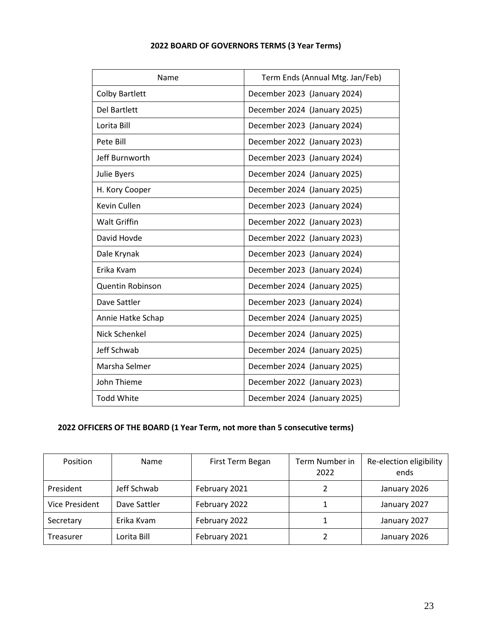| 2022 BOARD OF GOVERNORS TERMS (3 Year Terms) |  |  |
|----------------------------------------------|--|--|
|----------------------------------------------|--|--|

| Name                    | Term Ends (Annual Mtg. Jan/Feb) |
|-------------------------|---------------------------------|
| <b>Colby Bartlett</b>   | December 2023 (January 2024)    |
| <b>Del Bartlett</b>     | December 2024 (January 2025)    |
| Lorita Bill             | December 2023 (January 2024)    |
| Pete Bill               | December 2022 (January 2023)    |
| Jeff Burnworth          | December 2023 (January 2024)    |
| Julie Byers             | December 2024 (January 2025)    |
| H. Kory Cooper          | December 2024 (January 2025)    |
| Kevin Cullen            | December 2023 (January 2024)    |
| <b>Walt Griffin</b>     | December 2022 (January 2023)    |
| David Hovde             | December 2022 (January 2023)    |
| Dale Krynak             | December 2023 (January 2024)    |
| Erika Kvam              | December 2023 (January 2024)    |
| <b>Quentin Robinson</b> | December 2024 (January 2025)    |
| Dave Sattler            | December 2023 (January 2024)    |
| Annie Hatke Schap       | December 2024 (January 2025)    |
| Nick Schenkel           | December 2024 (January 2025)    |
| Jeff Schwab             | December 2024 (January 2025)    |
| Marsha Selmer           | December 2024 (January 2025)    |
| John Thieme             | December 2022 (January 2023)    |
| <b>Todd White</b>       | December 2024 (January 2025)    |

# **2022 OFFICERS OF THE BOARD (1 Year Term, not more than 5 consecutive terms)**

| Position              | <b>Name</b>  | First Term Began | Term Number in<br>2022 | Re-election eligibility<br>ends |
|-----------------------|--------------|------------------|------------------------|---------------------------------|
| President             | Jeff Schwab  | February 2021    | 2                      | January 2026                    |
| <b>Vice President</b> | Dave Sattler | February 2022    |                        | January 2027                    |
| Secretary             | Erika Kvam   | February 2022    |                        | January 2027                    |
| Treasurer             | Lorita Bill  | February 2021    |                        | January 2026                    |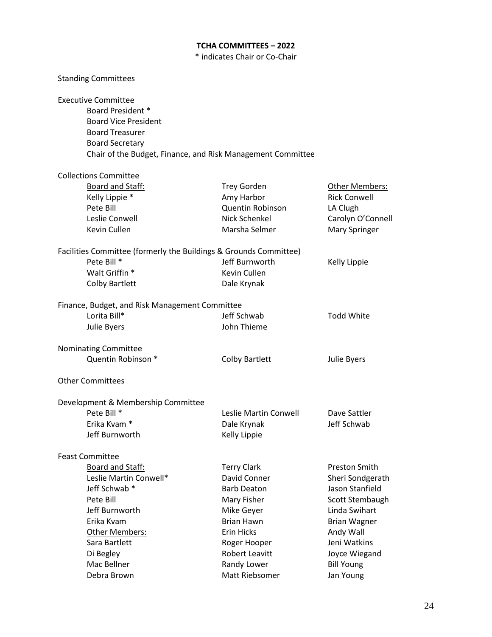## **TCHA COMMITTEES – 2022**

\* indicates Chair or Co-Chair

| <b>Standing Committees</b>                                                                                                                                                                               |                       |                      |
|----------------------------------------------------------------------------------------------------------------------------------------------------------------------------------------------------------|-----------------------|----------------------|
| <b>Executive Committee</b><br><b>Board President *</b><br><b>Board Vice President</b><br><b>Board Treasurer</b><br><b>Board Secretary</b><br>Chair of the Budget, Finance, and Risk Management Committee |                       |                      |
| <b>Collections Committee</b>                                                                                                                                                                             |                       |                      |
| <b>Board and Staff:</b>                                                                                                                                                                                  | <b>Trey Gorden</b>    | Other Members:       |
| Kelly Lippie *                                                                                                                                                                                           | Amy Harbor            | <b>Rick Conwell</b>  |
| Pete Bill                                                                                                                                                                                                | Quentin Robinson      | LA Clugh             |
| Leslie Conwell                                                                                                                                                                                           | Nick Schenkel         | Carolyn O'Connell    |
| Kevin Cullen                                                                                                                                                                                             | Marsha Selmer         | <b>Mary Springer</b> |
| Facilities Committee (formerly the Buildings & Grounds Committee)                                                                                                                                        |                       |                      |
| Pete Bill *                                                                                                                                                                                              | Jeff Burnworth        | Kelly Lippie         |
| Walt Griffin *                                                                                                                                                                                           | Kevin Cullen          |                      |
| <b>Colby Bartlett</b>                                                                                                                                                                                    | Dale Krynak           |                      |
| Finance, Budget, and Risk Management Committee                                                                                                                                                           |                       |                      |
| Lorita Bill*                                                                                                                                                                                             | Jeff Schwab           | <b>Todd White</b>    |
| Julie Byers                                                                                                                                                                                              | John Thieme           |                      |
| Nominating Committee                                                                                                                                                                                     |                       |                      |
| Quentin Robinson *                                                                                                                                                                                       | <b>Colby Bartlett</b> | Julie Byers          |
| <b>Other Committees</b>                                                                                                                                                                                  |                       |                      |
| Development & Membership Committee                                                                                                                                                                       |                       |                      |
| Pete Bill *                                                                                                                                                                                              | Leslie Martin Conwell | Dave Sattler         |
| Erika Kvam <sup>*</sup>                                                                                                                                                                                  | Dale Krynak           | Jeff Schwab          |
| Jeff Burnworth                                                                                                                                                                                           | Kelly Lippie          |                      |
| <b>Feast Committee</b>                                                                                                                                                                                   |                       |                      |
| Board and Staff:                                                                                                                                                                                         | <b>Terry Clark</b>    | <b>Preston Smith</b> |
| Leslie Martin Conwell*                                                                                                                                                                                   | David Conner          | Sheri Sondgerath     |
| Jeff Schwab *                                                                                                                                                                                            | <b>Barb Deaton</b>    | Jason Stanfield      |
| Pete Bill                                                                                                                                                                                                | Mary Fisher           | Scott Stembaugh      |
| Jeff Burnworth                                                                                                                                                                                           | Mike Geyer            | Linda Swihart        |
| Erika Kvam                                                                                                                                                                                               | <b>Brian Hawn</b>     | <b>Brian Wagner</b>  |
| Other Members:                                                                                                                                                                                           | Erin Hicks            | Andy Wall            |
| Sara Bartlett                                                                                                                                                                                            | Roger Hooper          | Jeni Watkins         |
| Di Begley                                                                                                                                                                                                | Robert Leavitt        | Joyce Wiegand        |
| Mac Bellner                                                                                                                                                                                              | Randy Lower           | <b>Bill Young</b>    |
| Debra Brown                                                                                                                                                                                              | Matt Riebsomer        | Jan Young            |